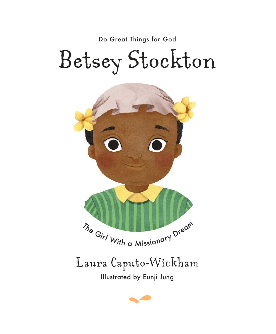Do Great Things for God

## Betsey Stockton



Illustrated by Eunji Jung Laura Caputo-Wickham

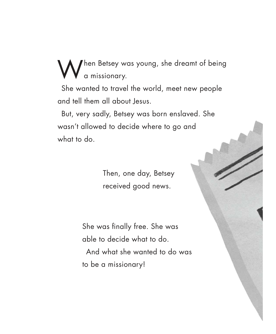hen Betsey was young, she dreamt of being a missionary.

She wanted to travel the world, meet new people and tell them all about Jesus.

But, very sadly, Betsey was born enslaved. She wasn't allowed to decide where to go and what to do.

> Then, one day, Betsey received good news.

She was finally free. She was able to decide what to do.

And what she wanted to do was to be a missionary!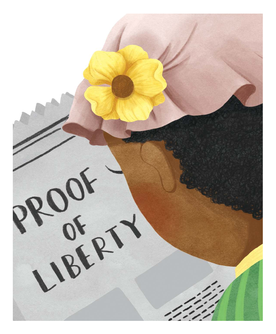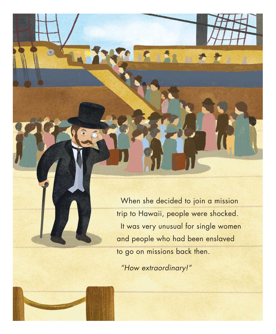When she decided to join a mission trip to Hawaii, people were shocked. It was very unusual for single women and people who had been enslaved to go on missions back then.

**ALLA** 

"How extraordinary!"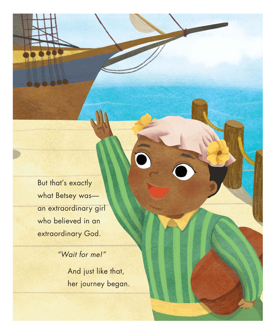But that's exactly what Betsey was an extraordinary girl who believed in an extraordinary God.

> "Wait for me!" And just like that, her journey began.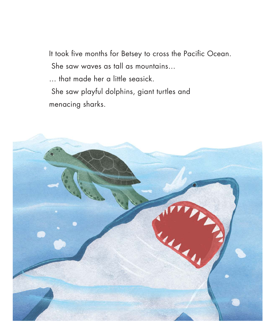It took five months for Betsey to cross the Pacific Ocean. She saw waves as tall as mountains… … that made her a little seasick. She saw playful dolphins, giant turtles and menacing sharks.